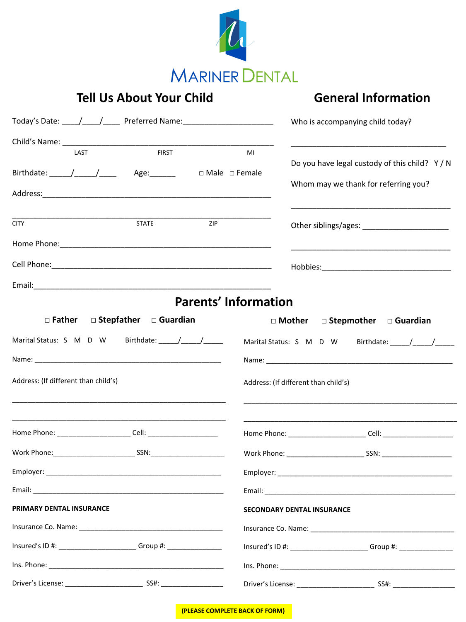

## **Tell Us About Your Child**

## **General Information**

| Today's Date: ____/____/_____ Preferred Name: __________________________________ | Who is accompanying child today?                                                 |  |
|----------------------------------------------------------------------------------|----------------------------------------------------------------------------------|--|
| <b>FIRST</b>                                                                     |                                                                                  |  |
| LAST<br>Birthdate: _____/_____/______ Age:______<br>□ Male □ Female              | MI<br>Do you have legal custody of this child? Y / N                             |  |
|                                                                                  | Whom may we thank for referring you?                                             |  |
| <b>STATE</b><br>ZIP<br><b>CITY</b>                                               | Other siblings/ages: ________________________                                    |  |
|                                                                                  |                                                                                  |  |
|                                                                                  |                                                                                  |  |
|                                                                                  |                                                                                  |  |
|                                                                                  | <b>Parents' Information</b>                                                      |  |
| $\Box$ Father<br>$\Box$ Stepfather $\Box$ Guardian                               | $\Box$ Mother $\Box$ Stepmother $\Box$ Guardian                                  |  |
| Marital Status: S M D W Birthdate: // // //                                      |                                                                                  |  |
|                                                                                  |                                                                                  |  |
| Address: (If different than child's)                                             | Address: (If different than child's)                                             |  |
| Home Phone: ___________________________ Cell: __________________________________ |                                                                                  |  |
|                                                                                  |                                                                                  |  |
|                                                                                  |                                                                                  |  |
|                                                                                  |                                                                                  |  |
| PRIMARY DENTAL INSURANCE                                                         | <b>SECONDARY DENTAL INSURANCE</b>                                                |  |
|                                                                                  |                                                                                  |  |
| Insured's ID #: ________________________Group #: _______________________________ | Insured's ID #: _________________________Group #: ______________________________ |  |
|                                                                                  |                                                                                  |  |
|                                                                                  |                                                                                  |  |